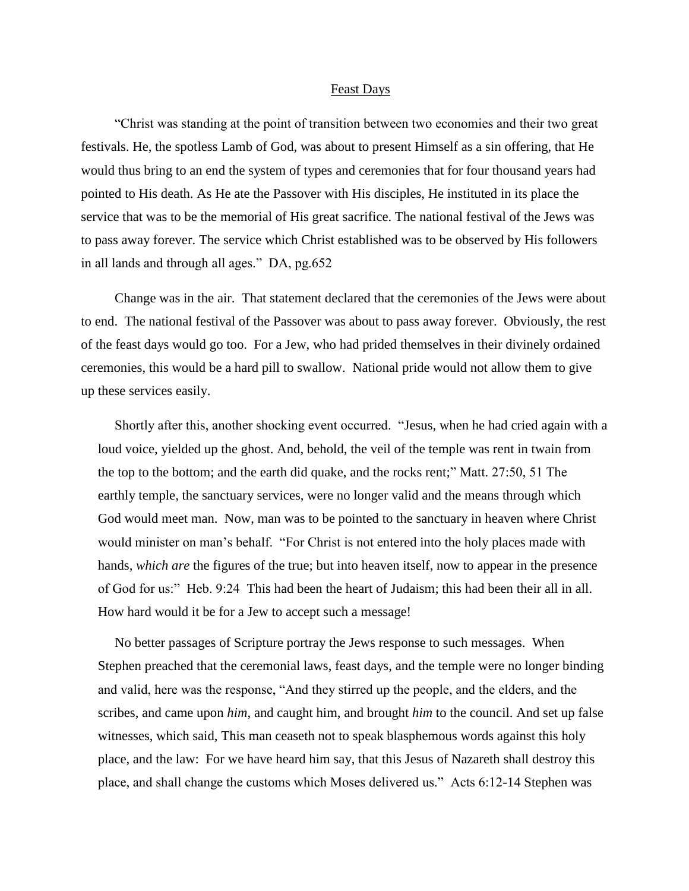## Feast Days

 "Christ was standing at the point of transition between two economies and their two great festivals. He, the spotless Lamb of God, was about to present Himself as a sin offering, that He would thus bring to an end the system of types and ceremonies that for four thousand years had pointed to His death. As He ate the Passover with His disciples, He instituted in its place the service that was to be the memorial of His great sacrifice. The national festival of the Jews was to pass away forever. The service which Christ established was to be observed by His followers in all lands and through all ages." DA, pg.652

 Change was in the air. That statement declared that the ceremonies of the Jews were about to end. The national festival of the Passover was about to pass away forever. Obviously, the rest of the feast days would go too. For a Jew, who had prided themselves in their divinely ordained ceremonies, this would be a hard pill to swallow. National pride would not allow them to give up these services easily.

 Shortly after this, another shocking event occurred. ["Jesus, when he had cried again with a](http://www.kingjamesbibleonline.org/Matthew-27-50/)  [loud voice, yielded up the ghost.](http://www.kingjamesbibleonline.org/Matthew-27-50/) [And, behold, the veil of the temple was rent in twain from](http://www.kingjamesbibleonline.org/Matthew-27-51/)  [the top to the bottom; and the earth did quake, and the rocks rent;"](http://www.kingjamesbibleonline.org/Matthew-27-51/) Matt. 27:50, 51 The earthly temple, the sanctuary services, were no longer valid and the means through which God would meet man. Now, man was to be pointed to the sanctuary in heaven where Christ would minister on man's behalf. "For Christ is not entered into the holy places made with hands, *which are* the figures of the true; but into heaven itself, now to appear in the presence of God for us:" Heb. 9:24 This had been the heart of Judaism; this had been their all in all. How hard would it be for a Jew to accept such a message!

 No better passages of Scripture portray the Jews response to such messages. When Stephen preached that the ceremonial laws, feast days, and the temple were no longer binding and valid, here was the response, "And they stirred up the people, and the elders, and the scribes, and came upon *him*, and caught him, and brought *him* to the council. And set up false witnesses, which said, This man ceaseth not to speak blasphemous words against this holy place, and the law: For we have heard him say, that this Jesus of Nazareth shall destroy this place, and shall change the customs which Moses delivered us." Acts 6:12-14 Stephen was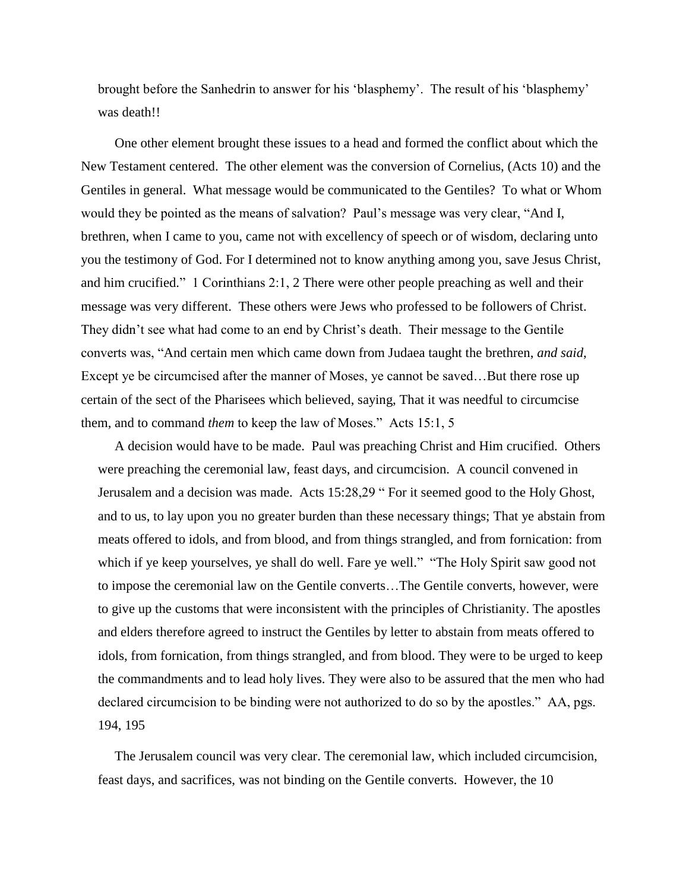brought before the Sanhedrin to answer for his 'blasphemy'. The result of his 'blasphemy' was death!!

 One other element brought these issues to a head and formed the conflict about which the New Testament centered. The other element was the conversion of Cornelius, (Acts 10) and the Gentiles in general. What message would be communicated to the Gentiles? To what or Whom would they be pointed as the means of salvation? Paul's message was very clear, ["And I,](http://www.kingjamesbibleonline.org/1-Corinthians-2-1/)  [brethren, when I came to you, came not with excellency of speech or of wisdom, declaring unto](http://www.kingjamesbibleonline.org/1-Corinthians-2-1/)  [you the testimony of God.](http://www.kingjamesbibleonline.org/1-Corinthians-2-1/) [For I determined not to know anything among you, save Jesus Christ,](http://www.kingjamesbibleonline.org/1-Corinthians-2-2/)  [and him crucified."](http://www.kingjamesbibleonline.org/1-Corinthians-2-2/) 1 Corinthians 2:1, 2 There were other people preaching as well and their message was very different. These others were Jews who professed to be followers of Christ. They didn't see what had come to an end by Christ's death. Their message to the Gentile converts was, "And certain men which came down from Judaea taught the brethren, *and said*, Except ye be circumcised after the manner of Moses, ye cannot be saved…But there rose up certain of the sect of the Pharisees which believed, saying, That it was needful to circumcise them, and to command *them* to keep the law of Moses." Acts 15:1, 5

 A decision would have to be made. Paul was preaching Christ and Him crucified. Others were preaching the ceremonial law, feast days, and circumcision. A council convened in Jerusalem and a decision was made. Acts 15:28,29 " [For it seemed good to the Holy Ghost,](http://www.kingjamesbibleonline.org/Acts-15-28/)  [and to us, to lay upon you no greater burden than these necessary things;](http://www.kingjamesbibleonline.org/Acts-15-28/) [That ye abstain from](http://www.kingjamesbibleonline.org/Acts-15-29/)  [meats offered to idols, and from blood, and from things strangled, and from fornication: from](http://www.kingjamesbibleonline.org/Acts-15-29/)  [which if ye keep yourselves, ye shall do well. Fare ye well."](http://www.kingjamesbibleonline.org/Acts-15-29/) "The Holy Spirit saw good not to impose the ceremonial law on the Gentile converts…The Gentile converts, however, were to give up the customs that were inconsistent with the principles of Christianity. The apostles and elders therefore agreed to instruct the Gentiles by letter to abstain from meats offered to idols, from fornication, from things strangled, and from blood. They were to be urged to keep the commandments and to lead holy lives. They were also to be assured that the men who had declared circumcision to be binding were not authorized to do so by the apostles." AA, pgs. 194, 195

 The Jerusalem council was very clear. The ceremonial law, which included circumcision, feast days, and sacrifices, was not binding on the Gentile converts. However, the 10